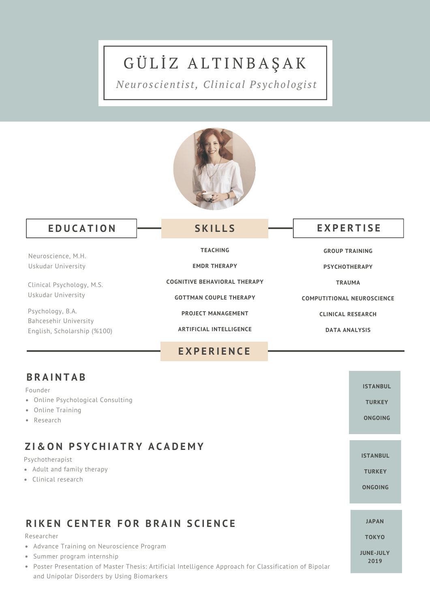# GÜLİZ ALTINBAŞAK

*Neuros c i enti s t, Clini cal Ps y chologi s t*



#### $\leftarrow$  **EDUCATION**  $\leftarrow$  **SKILLS EXPERTISE**

#### **S K I L L S**

| Neuroscience, M.H.                                                       | <b>TEACHING</b>                                      | <b>GROUP TRAINING</b><br><b>PSYCHOTHERAPY</b>    |  |  |
|--------------------------------------------------------------------------|------------------------------------------------------|--------------------------------------------------|--|--|
| Uskudar University                                                       | <b>EMDR THERAPY</b>                                  |                                                  |  |  |
| Clinical Psychology, M.S.                                                | <b>COGNITIVE BEHAVIORAL THERAPY</b>                  | <b>TRAUMA</b>                                    |  |  |
| Uskudar University                                                       | <b>GOTTMAN COUPLE THERAPY</b>                        | <b>COMPUTITIONAL NEUROSCIENCE</b>                |  |  |
| Psychology, B.A.<br>Bahcesehir University<br>English, Scholarship (%100) | <b>PROJECT MANAGEMENT</b><br>ARTIFICIAL INTELLIGENCE | <b>CLINICAL RESEARCH</b><br><b>DATA ANALYSIS</b> |  |  |
|                                                                          | <b>EXPERIENCE</b>                                    |                                                  |  |  |
|                                                                          |                                                      |                                                  |  |  |

#### **B R A I N T A B**

Founder

- Online Psychological Consulting
- Online Training
- Research

# **Z I & O N P S Y C H I A T R Y A C A D E M Y**

#### Psychotherapist

- Adult and family therapy
- Clinical research

# RIKEN CENTER FOR BRAIN SCIENCE

#### Researcher

- Advance Training on Neuroscience Program
- Summer program internship
- Poster Presentation of Master Thesis: Artificial Intelligence Approach for Classification of Bipolar and Unipolar Disorders by Using Biomarkers

**ISTANBUL TURKEY**

**ONGOING**

**ISTANBUL**

**TURKEY**

**ONGOING**

#### **JAPAN**

**TOKYO**

**JUNE-JULY 2019**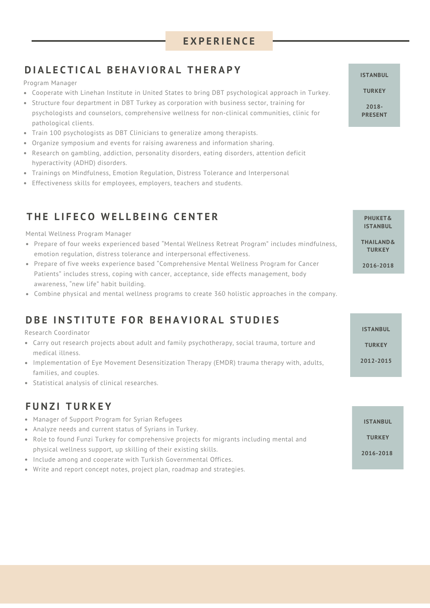#### **E X P E R I E N C E**

# DIALECTICAL BEHAVIORAL THERAPY **And ISLAN SETAIN RESERVENT OF A SETAIN RESERVENT OF A SETAIN RULL**

Program Manager

- Cooperate with Linehan Institute in United States to bring DBT psychological approach in Turkey.
- Structure four department in DBT Turkey as corporation with business sector, training for psychologists and counselors, comprehensive wellness for non-clinical communities, clinic for pathological clients.
- Train 100 psychologists as DBT Clinicians to generalize among therapists.
- Organize symposium and events for raising awareness and information sharing.
- Research on gambling, addiction, personality disorders, eating disorders, attention deficit hyperactivity (ADHD) disorders.
- Trainings on Mindfulness, Emotion Regulation, Distress Tolerance and Interpersonal
- Effectiveness skills for employees, employers, teachers and students.

# THE LIFECO WELLBEING CENTER **THE LIFECO** WELLBEING CENTER

Mental Wellness Program Manager

- Prepare of four weeks experienced based "Mental Wellness Retreat Program" includes mindfulness, emotion regulation, distress tolerance and interpersonal effectiveness.
- Prepare of five weeks experience based "Comprehensive Mental Wellness Program for Cancer Patients" includes stress, coping with cancer, acceptance, side effects management, body awareness, " new life" habit building.
- Combine physical and mental wellness programs to create 360 holistic approaches in the company.

#### **DBE INSTITUTE FOR BEHAVIORAL STUDIES**

Research Coordinator

- Carry out research projects about adult and family psychotherapy, social trauma, torture and medical illness.
- Implementation of Eye Movement Desensitization Therapy (EMDR) trauma therapy with, adults, families, and couples.
- Statistical analysis of clinical researches.

#### **F U N Z I T U R K E Y**

- Manager of Support Program for Syrian Refugees
- Analyze needs and current status of Syrians in Turkey.
- Role to found Funzi Turkey for comprehensive projects for migrants including mental and physical wellness support, up skilling of their existing skills.
- Include among and cooperate with Turkish Governmental Offices.
- Write and report concept notes, project plan, roadmap and strategies.

**TURKEY 2018- PRESENT**

**ISTANBUL THAILAND&**

**TURKEY**

**2016-2018**

| ISTANBUL      |
|---------------|
| <b>TURKEY</b> |
| 2016-2018     |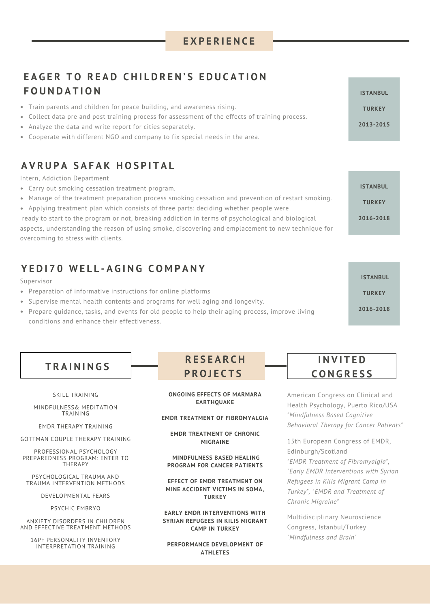#### **E X P E R I E N C E**

# **EAGER TO READ CHILDREN'S EDUCATION F O U N D A T I O N ISTANBUL**

- Train parents and children for peace building, and awareness rising.
- Collect data pre and post training process for assessment of the effects of training process.
- Analyze the data and write report for cities separately.
- Cooperate with different NGO and company to fix special needs in the area.

### **A V R U P A S A F A K H O S P I T A L**

Intern, Addiction Department

- Carry out smoking cessation treatment program.
- Manage of the treatment preparation process smoking cessation and prevention of restart smoking.
- Applying treatment plan which consists of three parts: deciding whether people were

ready to start to the program or not, breaking addiction in terms of psychological and biological aspects, understanding the reason of using smoke, discovering and emplacement to new technique for overcoming to stress with clients.

#### **Y E D I 7 0 W E L L - A G I N G C O M P A N Y**

Supervisor

- Preparation of informative instructions for online platforms
- Supervise mental health contents and programs for well aging and longevity.
- Prepare guidance, tasks, and events for old people to help their aging process, improve living conditions and enhance their effectiveness.

|  |  |  |  |  |  | <b>TRAININGS</b> |  |  |  |
|--|--|--|--|--|--|------------------|--|--|--|
|--|--|--|--|--|--|------------------|--|--|--|

SKILL TRAINING

MINDFULNESS& MEDITATION TRAINING

EMDR THERAPY TRAINING

GOTTMAN COUPLE THERAPY TRAINING

PROFESSIONAL PSYCHOLOGY PREPAREDNESS PROGRAM: ENTER TO THERAPY

PSYCHOLOGICAL TRAUMA AND TRAUMA INTERVENTION METHODS

DEVELOPMENTAL FEARS

PSYCHIC EMBRYO

ANXIETY DISORDERS IN CHILDREN AND EFFECTIVE TREATMENT METHODS

16PF PERSONALITY INVENTORY INTERPRETATION TRAINING

# **R E S E A R C H P R O J E C T S**

**ONGOING EFFECTS OF MARMARA EARTHQUAKE**

#### **EMDR TREATMENT OF FIBROMYALGIA**

**EMDR TREATMENT OF CHRONIC MIGRAINE**

**MINDFULNESS BASED HEALING PROGRAM FOR CANCER PATIENTS**

**EFFECT OF EMDR TREATMENT ON MINE ACCIDENT VICTIMS IN SOMA, TURKEY**

**EARLY EMDR INTERVENTIONS WITH SYRIAN REFUGEES IN KILIS MIGRANT CAMP IN TURKEY**

**PERFORMANCE DEVELOPMENT OF ATHLETES**

#### **I N V I T E D C O N G R E S S**

American Congress on Clinical and Health Psychology, Puerto Rico/USA *"Mindfulness Based Cognitive Behavioral Therapy for Cancer Patients"*

15th European Congress of EMDR, Edinburgh/Scotland *"EMDR Treatment of Fibromyalgia" , "Early EMDR Interventions with Syrian Refugees in Kilis Migrant Camp in Turkey " , "EMDR and Treatment of Chronic Migraine"*

Multidisciplinary Neuroscience Congress, Istanbul/Turkey *"Mindfulness and Brain"*

**TURKEY**

**2013-2015**

**ISTANBUL**

**TURKEY**

**2016-2018**

**ISTANBUL TURKEY 2016-2018**